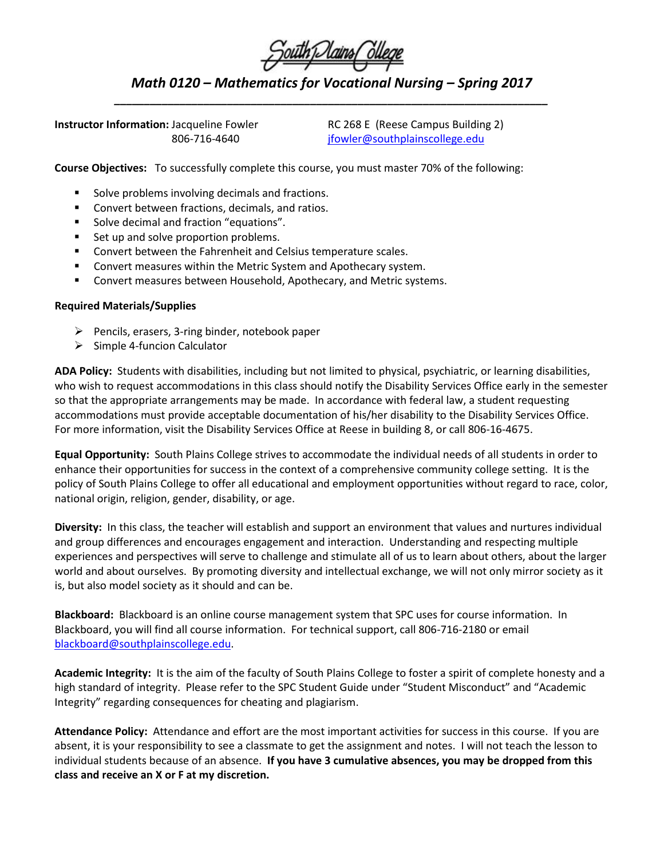|  | South Dains Ollege |
|--|--------------------|
|  |                    |
|  |                    |

*Math 0120 – Mathematics for Vocational Nursing – Spring 2017 \_\_\_\_\_\_\_\_\_\_\_\_\_\_\_\_\_\_\_\_\_\_\_\_\_\_\_\_\_\_\_\_\_\_\_\_\_\_\_\_\_\_\_\_\_\_\_\_\_\_\_\_\_\_\_\_\_\_\_\_\_\_\_\_\_\_\_\_\_\_\_\_\_*

**Instructor Information:** Jacqueline Fowler RC 268 E (Reese Campus Building 2)

806-716-4640 [jfowler@southplainscollege.edu](mailto:jfowler@southplainscollege.edu)

**Course Objectives:** To successfully complete this course, you must master 70% of the following:

- Solve problems involving decimals and fractions.
- **EXECONCERT** Convert between fractions, decimals, and ratios.
- **Solve decimal and fraction "equations".**
- Set up and solve proportion problems.
- **EXECONCERT** Convert between the Fahrenheit and Celsius temperature scales.
- Convert measures within the Metric System and Apothecary system.
- **EXP** Convert measures between Household, Apothecary, and Metric systems.

## **Required Materials/Supplies**

- $\triangleright$  Pencils, erasers, 3-ring binder, notebook paper
- $\triangleright$  Simple 4-funcion Calculator

**ADA Policy:** Students with disabilities, including but not limited to physical, psychiatric, or learning disabilities, who wish to request accommodations in this class should notify the Disability Services Office early in the semester so that the appropriate arrangements may be made. In accordance with federal law, a student requesting accommodations must provide acceptable documentation of his/her disability to the Disability Services Office. For more information, visit the Disability Services Office at Reese in building 8, or call 806-16-4675.

**Equal Opportunity:** South Plains College strives to accommodate the individual needs of all students in order to enhance their opportunities for success in the context of a comprehensive community college setting. It is the policy of South Plains College to offer all educational and employment opportunities without regard to race, color, national origin, religion, gender, disability, or age.

**Diversity:** In this class, the teacher will establish and support an environment that values and nurtures individual and group differences and encourages engagement and interaction. Understanding and respecting multiple experiences and perspectives will serve to challenge and stimulate all of us to learn about others, about the larger world and about ourselves. By promoting diversity and intellectual exchange, we will not only mirror society as it is, but also model society as it should and can be.

**Blackboard:** Blackboard is an online course management system that SPC uses for course information. In Blackboard, you will find all course information. For technical support, call 806-716-2180 or email [blackboard@southplainscollege.edu.](mailto:blackboard@southplainscollege.edu)

**Academic Integrity:** It is the aim of the faculty of South Plains College to foster a spirit of complete honesty and a high standard of integrity. Please refer to the SPC Student Guide under "Student Misconduct" and "Academic Integrity" regarding consequences for cheating and plagiarism.

**Attendance Policy:** Attendance and effort are the most important activities for success in this course. If you are absent, it is your responsibility to see a classmate to get the assignment and notes. I will not teach the lesson to individual students because of an absence. **If you have 3 cumulative absences, you may be dropped from this class and receive an X or F at my discretion.**